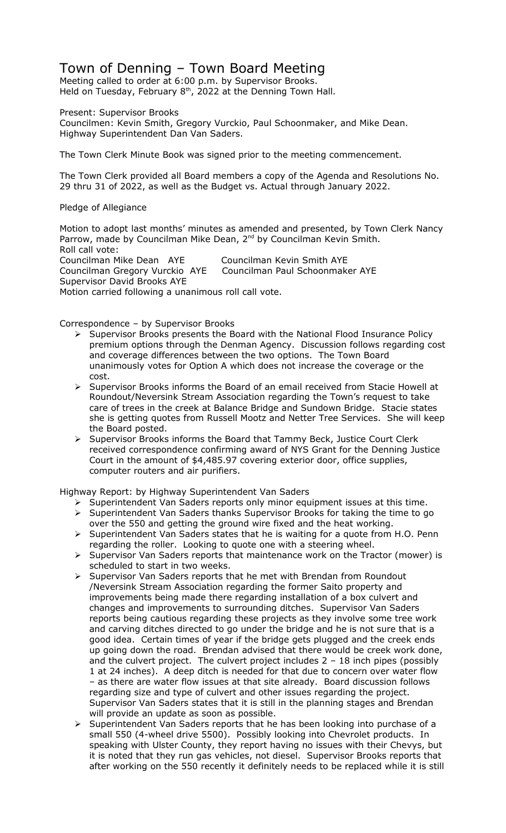## Town of Denning – Town Board Meeting

Meeting called to order at 6:00 p.m. by Supervisor Brooks. Held on Tuesday, February  $8<sup>th</sup>$ , 2022 at the Denning Town Hall.

Present: Supervisor Brooks

Councilmen: Kevin Smith, Gregory Vurckio, Paul Schoonmaker, and Mike Dean. Highway Superintendent Dan Van Saders.

The Town Clerk Minute Book was signed prior to the meeting commencement.

The Town Clerk provided all Board members a copy of the Agenda and Resolutions No. 29 thru 31 of 2022, as well as the Budget vs. Actual through January 2022.

Pledge of Allegiance

Motion to adopt last months' minutes as amended and presented, by Town Clerk Nancy Parrow, made by Councilman Mike Dean, 2<sup>nd</sup> by Councilman Kevin Smith. Roll call vote: Councilman Mike Dean AYE Councilman Kevin Smith AYE<br>Councilman Gregory Vurckio AYE Councilman Paul Schoonmaker AYE Councilman Gregory Vurckio AYE Supervisor David Brooks AYE Motion carried following a unanimous roll call vote.

Correspondence – by Supervisor Brooks

- $\triangleright$  Supervisor Brooks presents the Board with the National Flood Insurance Policy premium options through the Denman Agency. Discussion follows regarding cost and coverage differences between the two options. The Town Board unanimously votes for Option A which does not increase the coverage or the cost.
- $\triangleright$  Supervisor Brooks informs the Board of an email received from Stacie Howell at Roundout/Neversink Stream Association regarding the Town's request to take care of trees in the creek at Balance Bridge and Sundown Bridge. Stacie states she is getting quotes from Russell Mootz and Netter Tree Services. She will keep the Board posted.
- $\triangleright$  Supervisor Brooks informs the Board that Tammy Beck, Justice Court Clerk received correspondence confirming award of NYS Grant for the Denning Justice Court in the amount of \$4,485.97 covering exterior door, office supplies, computer routers and air purifiers.

Highway Report: by Highway Superintendent Van Saders

- $\triangleright$  Superintendent Van Saders reports only minor equipment issues at this time.
- Superintendent Van Saders thanks Supervisor Brooks for taking the time to go over the 550 and getting the ground wire fixed and the heat working.
- Superintendent Van Saders states that he is waiting for a quote from H.O. Penn regarding the roller. Looking to quote one with a steering wheel.
- $\triangleright$  Supervisor Van Saders reports that maintenance work on the Tractor (mower) is scheduled to start in two weeks.
- Supervisor Van Saders reports that he met with Brendan from Roundout /Neversink Stream Association regarding the former Saito property and improvements being made there regarding installation of a box culvert and changes and improvements to surrounding ditches. Supervisor Van Saders reports being cautious regarding these projects as they involve some tree work and carving ditches directed to go under the bridge and he is not sure that is a good idea. Certain times of year if the bridge gets plugged and the creek ends up going down the road. Brendan advised that there would be creek work done, and the culvert project. The culvert project includes 2 – 18 inch pipes (possibly 1 at 24 inches). A deep ditch is needed for that due to concern over water flow – as there are water flow issues at that site already. Board discussion follows regarding size and type of culvert and other issues regarding the project. Supervisor Van Saders states that it is still in the planning stages and Brendan will provide an update as soon as possible.
- $\triangleright$  Superintendent Van Saders reports that he has been looking into purchase of a small 550 (4-wheel drive 5500). Possibly looking into Chevrolet products. In speaking with Ulster County, they report having no issues with their Chevys, but it is noted that they run gas vehicles, not diesel. Supervisor Brooks reports that after working on the 550 recently it definitely needs to be replaced while it is still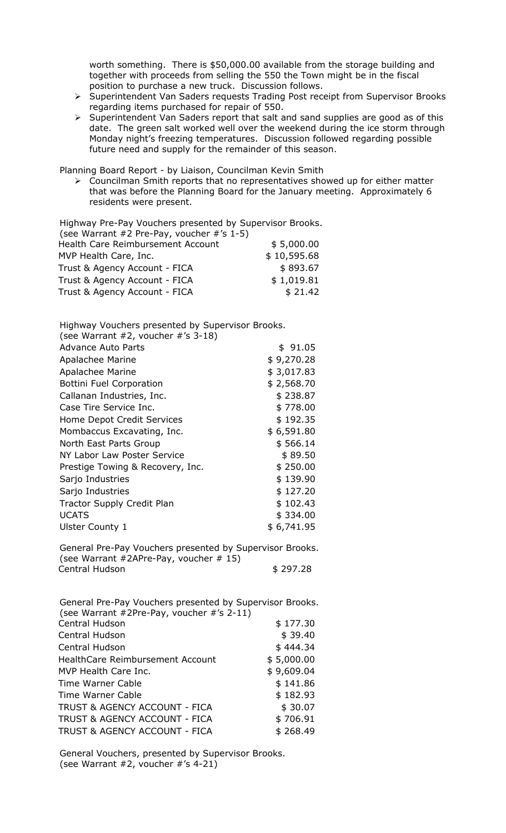worth something. There is \$50,000.00 available from the storage building and together with proceeds from selling the 550 the Town might be in the fiscal position to purchase a new truck. Discussion follows.

- > Superintendent Van Saders requests Trading Post receipt from Supervisor Brooks regarding items purchased for repair of 550.
- $\triangleright$  Superintendent Van Saders report that salt and sand supplies are good as of this date. The green salt worked well over the weekend during the ice storm through Monday night's freezing temperatures. Discussion followed regarding possible future need and supply for the remainder of this season.

Planning Board Report - by Liaison, Councilman Kevin Smith

 Councilman Smith reports that no representatives showed up for either matter that was before the Planning Board for the January meeting. Approximately 6 residents were present.

Highway Pre-Pay Vouchers presented by Supervisor Brooks.

| (see Warrant #2 Pre-Pay, voucher #'s $1-5$ ) |             |
|----------------------------------------------|-------------|
| Health Care Reimbursement Account            | \$5,000.00  |
| MVP Health Care, Inc.                        | \$10,595.68 |
| Trust & Agency Account - FICA                | \$893.67    |
| Trust & Agency Account - FICA                | \$1,019.81  |
| Trust & Agency Account - FICA                | \$21.42     |

Highway Vouchers presented by Supervisor Brooks.

| (see Warrant $#2$ , voucher $#^{\prime}$ s 3-18) |            |
|--------------------------------------------------|------------|
| <b>Advance Auto Parts</b>                        | \$91.05    |
| Apalachee Marine                                 | \$9,270.28 |
| <b>Apalachee Marine</b>                          | \$3,017.83 |
| <b>Bottini Fuel Corporation</b>                  | \$2,568.70 |
| Callanan Industries, Inc.                        | \$238.87   |
| Case Tire Service Inc.                           | \$778.00   |
| Home Depot Credit Services                       | \$192.35   |
| Mombaccus Excavating, Inc.                       | \$6,591.80 |
| North East Parts Group                           | \$566.14   |
| NY Labor Law Poster Service                      | \$89.50    |
| Prestige Towing & Recovery, Inc.                 | \$250.00   |
| Sarjo Industries                                 | \$139.90   |
| Sarjo Industries                                 | \$127.20   |
| <b>Tractor Supply Credit Plan</b>                | \$102.43   |
| <b>UCATS</b>                                     | \$334.00   |
| Ulster County 1                                  | \$6,741.95 |
|                                                  |            |

General Pre-Pay Vouchers presented by Supervisor Brooks. (see Warrant #2APre-Pay, voucher # 15) Central Hudson \$ 297.28

General Pre-Pay Vouchers presented by Supervisor Brooks. (see Warrant #2Pre-Pay, voucher #'s 2-11) Central Hudson \$ 177.30 Central Hudson \$ 39.40 Central Hudson \$ 444.34 HealthCare Reimbursement Account \$ 5,000.00 MVP Health Care Inc. 6 \$ 9,609.04 Time Warner Cable  $\qquad \qquad$  \$ 141.86 Time Warner Cable \$182.93 TRUST & AGENCY ACCOUNT - FICA \$30.07 TRUST & AGENCY ACCOUNT - FICA  $$706.91$ TRUST & AGENCY ACCOUNT - FICA \$268.49

General Vouchers, presented by Supervisor Brooks. (see Warrant #2, voucher #'s 4-21)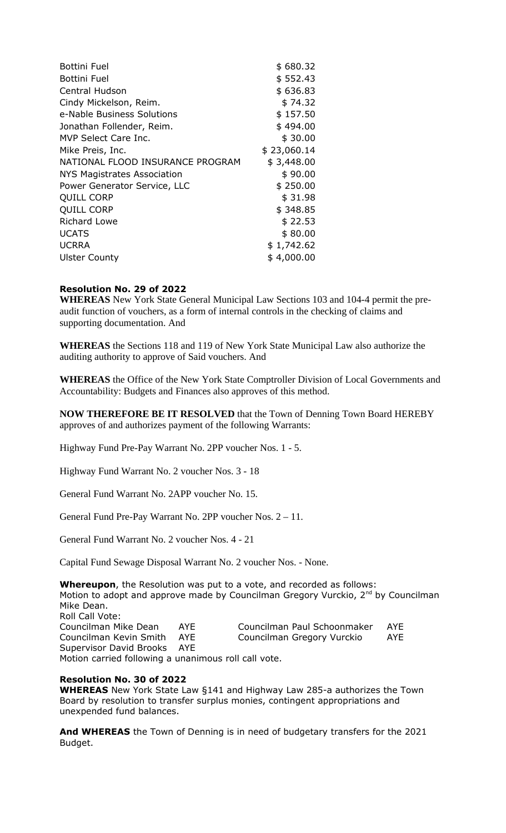| <b>Bottini Fuel</b>                | \$680.32    |
|------------------------------------|-------------|
| <b>Bottini Fuel</b>                | \$552.43    |
| Central Hudson                     | \$636.83    |
| Cindy Mickelson, Reim.             | \$74.32     |
| e-Nable Business Solutions         | \$157.50    |
| Jonathan Follender, Reim.          | \$494.00    |
| MVP Select Care Inc.               | \$30.00     |
| Mike Preis, Inc.                   | \$23,060.14 |
| NATIONAL FLOOD INSURANCE PROGRAM   | \$3,448.00  |
| <b>NYS Magistrates Association</b> | \$90.00     |
| Power Generator Service, LLC       | \$250.00    |
| <b>QUILL CORP</b>                  | \$31.98     |
| <b>QUILL CORP</b>                  | \$348.85    |
| <b>Richard Lowe</b>                | \$22.53     |
| <b>UCATS</b>                       | \$80.00     |
| <b>UCRRA</b>                       | \$1,742.62  |
| <b>Ulster County</b>               | \$4,000.00  |

## **Resolution No. 29 of 2022**

**WHEREAS** New York State General Municipal Law Sections 103 and 104-4 permit the preaudit function of vouchers, as a form of internal controls in the checking of claims and supporting documentation. And

**WHEREAS** the Sections 118 and 119 of New York State Municipal Law also authorize the auditing authority to approve of Said vouchers. And

**WHEREAS** the Office of the New York State Comptroller Division of Local Governments and Accountability: Budgets and Finances also approves of this method.

**NOW THEREFORE BE IT RESOLVED** that the Town of Denning Town Board HEREBY approves of and authorizes payment of the following Warrants:

Highway Fund Pre-Pay Warrant No. 2PP voucher Nos. 1 - 5.

Highway Fund Warrant No. 2 voucher Nos. 3 - 18

General Fund Warrant No. 2APP voucher No. 15.

General Fund Pre-Pay Warrant No. 2PP voucher Nos. 2 – 11.

General Fund Warrant No. 2 voucher Nos. 4 - 21

Capital Fund Sewage Disposal Warrant No. 2 voucher Nos. - None.

**Whereupon**, the Resolution was put to a vote, and recorded as follows: Motion to adopt and approve made by Councilman Gregory Vurckio, 2<sup>nd</sup> by Councilman Mike Dean. Roll Call Vote: Councilman Mike Dean AYE Councilman Paul Schoonmaker AYE Councilman Kevin Smith AYE Councilman Gregory Vurckio AYE Supervisor David Brooks AYE Motion carried following a unanimous roll call vote.

## **Resolution No. 30 of 2022**

**WHEREAS** New York State Law §141 and Highway Law 285-a authorizes the Town Board by resolution to transfer surplus monies, contingent appropriations and unexpended fund balances.

**And WHEREAS** the Town of Denning is in need of budgetary transfers for the 2021 Budget.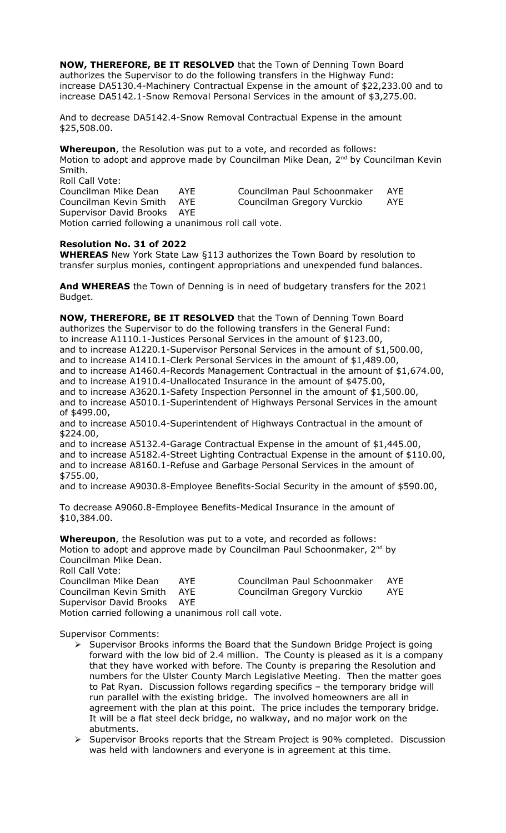**NOW, THEREFORE, BE IT RESOLVED** that the Town of Denning Town Board authorizes the Supervisor to do the following transfers in the Highway Fund: increase DA5130.4-Machinery Contractual Expense in the amount of \$22,233.00 and to increase DA5142.1-Snow Removal Personal Services in the amount of \$3,275.00.

And to decrease DA5142.4-Snow Removal Contractual Expense in the amount \$25,508.00.

**Whereupon**, the Resolution was put to a vote, and recorded as follows: Motion to adopt and approve made by Councilman Mike Dean, 2<sup>nd</sup> by Councilman Kevin Smith. Roll Call Vote: Councilman Mike Dean AYE Councilman Paul Schoonmaker AYE Councilman Kevin Smith AYE Councilman Gregory Vurckio AYE Supervisor David Brooks AYE

Motion carried following a unanimous roll call vote.

## **Resolution No. 31 of 2022**

**WHEREAS** New York State Law §113 authorizes the Town Board by resolution to transfer surplus monies, contingent appropriations and unexpended fund balances.

**And WHEREAS** the Town of Denning is in need of budgetary transfers for the 2021 Budget.

**NOW, THEREFORE, BE IT RESOLVED** that the Town of Denning Town Board authorizes the Supervisor to do the following transfers in the General Fund: to increase A1110.1-Justices Personal Services in the amount of \$123.00, and to increase A1220.1-Supervisor Personal Services in the amount of \$1,500.00, and to increase A1410.1-Clerk Personal Services in the amount of \$1,489.00, and to increase A1460.4-Records Management Contractual in the amount of \$1,674.00, and to increase A1910.4-Unallocated Insurance in the amount of \$475.00, and to increase A3620.1-Safety Inspection Personnel in the amount of \$1,500.00, and to increase A5010.1-Superintendent of Highways Personal Services in the amount of \$499.00, and to increase A5010.4-Superintendent of Highways Contractual in the amount of \$224.00, and to increase A5132.4-Garage Contractual Expense in the amount of \$1,445.00, and to increase A5182.4-Street Lighting Contractual Expense in the amount of \$110.00,

and to increase A8160.1-Refuse and Garbage Personal Services in the amount of \$755.00,

and to increase A9030.8-Employee Benefits-Social Security in the amount of \$590.00,

To decrease A9060.8-Employee Benefits-Medical Insurance in the amount of \$10,384.00.

**Whereupon**, the Resolution was put to a vote, and recorded as follows: Motion to adopt and approve made by Councilman Paul Schoonmaker,  $2^{nd}$  by Councilman Mike Dean. Roll Call Vote:

| Councilman Mike Dean                                 | AYF | Councilman Paul Schoonmaker | AYE |
|------------------------------------------------------|-----|-----------------------------|-----|
| Councilman Kevin Smith AYE                           |     | Councilman Gregory Vurckio  | AYE |
| Supervisor David Brooks AYE                          |     |                             |     |
| Motion carried following a unanimous roll call vote. |     |                             |     |

Supervisor Comments:

- Supervisor Brooks informs the Board that the Sundown Bridge Project is going forward with the low bid of 2.4 million. The County is pleased as it is a company that they have worked with before. The County is preparing the Resolution and numbers for the Ulster County March Legislative Meeting. Then the matter goes to Pat Ryan. Discussion follows regarding specifics – the temporary bridge will run parallel with the existing bridge. The involved homeowners are all in agreement with the plan at this point. The price includes the temporary bridge. It will be a flat steel deck bridge, no walkway, and no major work on the abutments.
- Supervisor Brooks reports that the Stream Project is 90% completed. Discussion was held with landowners and everyone is in agreement at this time.